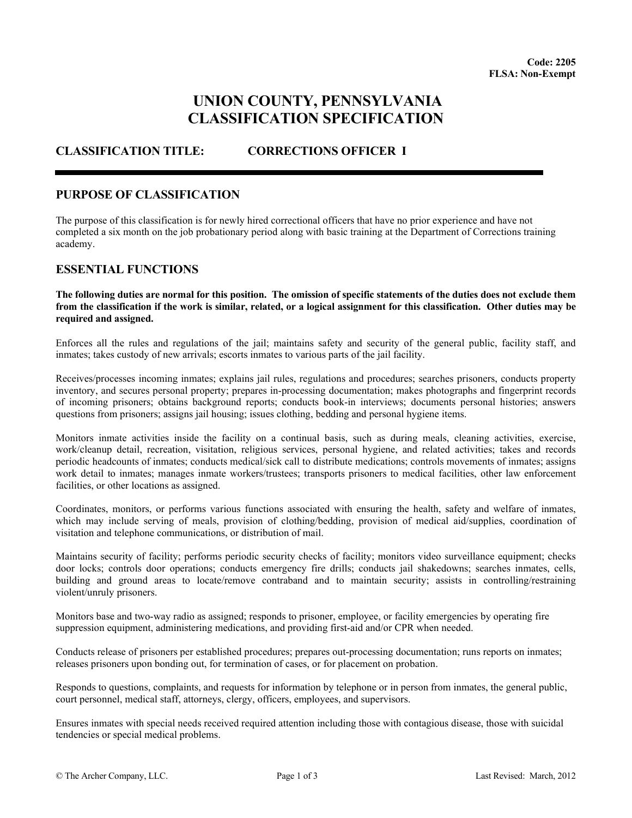# **UNION COUNTY, PENNSYLVANIA CLASSIFICATION SPECIFICATION**

## **CLASSIFICATION TITLE: CORRECTIONS OFFICER I**

## **PURPOSE OF CLASSIFICATION**

The purpose of this classification is for newly hired correctional officers that have no prior experience and have not completed a six month on the job probationary period along with basic training at the Department of Corrections training academy.

## **ESSENTIAL FUNCTIONS**

#### **The following duties are normal for this position. The omission of specific statements of the duties does not exclude them from the classification if the work is similar, related, or a logical assignment for this classification. Other duties may be required and assigned.**

Enforces all the rules and regulations of the jail; maintains safety and security of the general public, facility staff, and inmates; takes custody of new arrivals; escorts inmates to various parts of the jail facility.

Receives/processes incoming inmates; explains jail rules, regulations and procedures; searches prisoners, conducts property inventory, and secures personal property; prepares in-processing documentation; makes photographs and fingerprint records of incoming prisoners; obtains background reports; conducts book-in interviews; documents personal histories; answers questions from prisoners; assigns jail housing; issues clothing, bedding and personal hygiene items.

Monitors inmate activities inside the facility on a continual basis, such as during meals, cleaning activities, exercise, work/cleanup detail, recreation, visitation, religious services, personal hygiene, and related activities; takes and records periodic headcounts of inmates; conducts medical/sick call to distribute medications; controls movements of inmates; assigns work detail to inmates; manages inmate workers/trustees; transports prisoners to medical facilities, other law enforcement facilities, or other locations as assigned.

Coordinates, monitors, or performs various functions associated with ensuring the health, safety and welfare of inmates, which may include serving of meals, provision of clothing/bedding, provision of medical aid/supplies, coordination of visitation and telephone communications, or distribution of mail.

Maintains security of facility; performs periodic security checks of facility; monitors video surveillance equipment; checks door locks; controls door operations; conducts emergency fire drills; conducts jail shakedowns; searches inmates, cells, building and ground areas to locate/remove contraband and to maintain security; assists in controlling/restraining violent/unruly prisoners.

Monitors base and two-way radio as assigned; responds to prisoner, employee, or facility emergencies by operating fire suppression equipment, administering medications, and providing first-aid and/or CPR when needed.

Conducts release of prisoners per established procedures; prepares out-processing documentation; runs reports on inmates; releases prisoners upon bonding out, for termination of cases, or for placement on probation.

Responds to questions, complaints, and requests for information by telephone or in person from inmates, the general public, court personnel, medical staff, attorneys, clergy, officers, employees, and supervisors.

Ensures inmates with special needs received required attention including those with contagious disease, those with suicidal tendencies or special medical problems.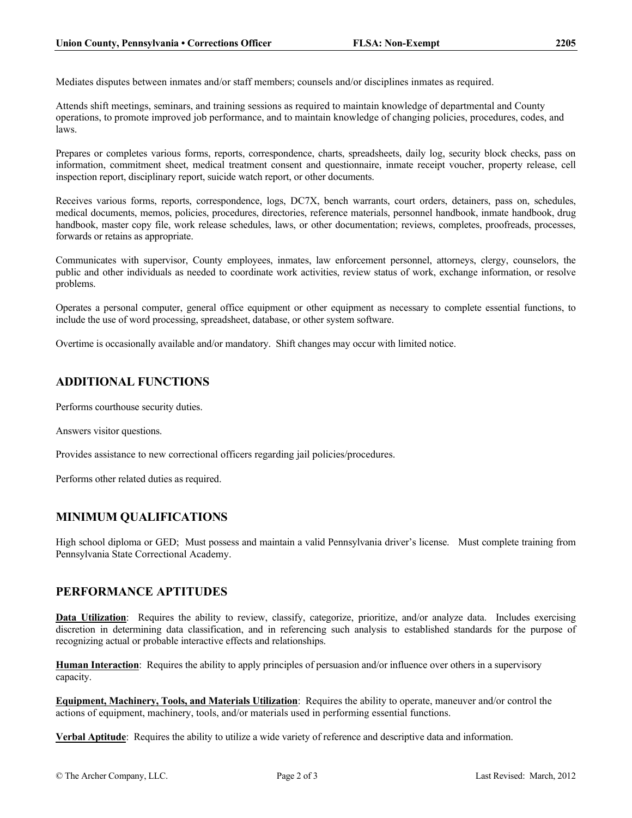Mediates disputes between inmates and/or staff members; counsels and/or disciplines inmates as required.

Attends shift meetings, seminars, and training sessions as required to maintain knowledge of departmental and County operations, to promote improved job performance, and to maintain knowledge of changing policies, procedures, codes, and laws.

Prepares or completes various forms, reports, correspondence, charts, spreadsheets, daily log, security block checks, pass on information, commitment sheet, medical treatment consent and questionnaire, inmate receipt voucher, property release, cell inspection report, disciplinary report, suicide watch report, or other documents.

Receives various forms, reports, correspondence, logs, DC7X, bench warrants, court orders, detainers, pass on, schedules, medical documents, memos, policies, procedures, directories, reference materials, personnel handbook, inmate handbook, drug handbook, master copy file, work release schedules, laws, or other documentation; reviews, completes, proofreads, processes, forwards or retains as appropriate.

Communicates with supervisor, County employees, inmates, law enforcement personnel, attorneys, clergy, counselors, the public and other individuals as needed to coordinate work activities, review status of work, exchange information, or resolve problems.

Operates a personal computer, general office equipment or other equipment as necessary to complete essential functions, to include the use of word processing, spreadsheet, database, or other system software.

Overtime is occasionally available and/or mandatory. Shift changes may occur with limited notice.

## **ADDITIONAL FUNCTIONS**

Performs courthouse security duties.

Answers visitor questions.

Provides assistance to new correctional officers regarding jail policies/procedures.

Performs other related duties as required.

## **MINIMUM QUALIFICATIONS**

High school diploma or GED; Must possess and maintain a valid Pennsylvania driver's license. Must complete training from Pennsylvania State Correctional Academy.

## **PERFORMANCE APTITUDES**

**Data Utilization**: Requires the ability to review, classify, categorize, prioritize, and/or analyze data. Includes exercising discretion in determining data classification, and in referencing such analysis to established standards for the purpose of recognizing actual or probable interactive effects and relationships.

**Human Interaction**: Requires the ability to apply principles of persuasion and/or influence over others in a supervisory capacity.

**Equipment, Machinery, Tools, and Materials Utilization**: Requires the ability to operate, maneuver and/or control the actions of equipment, machinery, tools, and/or materials used in performing essential functions.

**Verbal Aptitude**: Requires the ability to utilize a wide variety of reference and descriptive data and information.